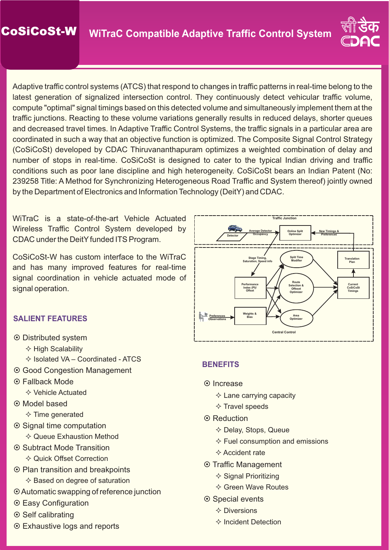

Adaptive traffic control systems (ATCS) that respond to changes in traffic patterns in real-time belong to the latest generation of signalized intersection control. They continuously detect vehicular traffic volume, compute "optimal" signal timings based on this detected volume and simultaneously implement them at the traffic junctions. Reacting to these volume variations generally results in reduced delays, shorter queues and decreased travel times. In Adaptive Traffic Control Systems, the traffic signals in a particular area are coordinated in such a way that an objective function is optimized. The Composite Signal Control Strategy (CoSiCoSt) developed by CDAC Thiruvananthapuram optimizes a weighted combination of delay and number of stops in real-time. CoSiCoSt is designed to cater to the typical Indian driving and traffic conditions such as poor lane discipline and high heterogeneity. CoSiCoSt bears an Indian Patent (No: 239258 Title: A Method for Synchronizing Heterogeneous Road Traffic and System thereof) jointly owned by the Department of Electronics and Information Technology (DeitY) and CDAC.

WiTraC is a state-of-the-art Vehicle Actuated Wireless Traffic Control System developed by CDAC under the DeitY funded ITS Program.

CoSiCoSt-W has custom interface to the WiTraC and has many improved features for real-time signal coordination in vehicle actuated mode of signal operation.

# **SALIENT FEATURES**

- $\odot$  Distributed system
	- $\Diamond$  High Scalability
	- $\diamond$  Isolated VA Coordinated ATCS
- $\odot$  Good Congestion Management
- ¤ Fallback Mode
	- $\Diamond$  Vehicle Actuated
- ⊙ Model based
	- $\Diamond$  Time generated
- ◎ Signal time computation
	- $\Diamond$  Queue Exhaustion Method
- ◎ Subtract Mode Transition  $\diamond$  Quick Offset Correction
- $\odot$  Plan transition and breakpoints  $\diamond$  Based on degree of saturation
- $\odot$  Automatic swapping of reference junction
- $\odot$  Easy Configuration
- ⊙ Self calibrating
- $\odot$  Exhaustive logs and reports



### **BENEFITS**

- **⊙** Increase
	- $\diamond$  Lane carrying capacity
	- $\diamond$  Travel speeds
- ⊙ Reduction
	- $\diamond$  Delay, Stops, Queue
	- $\diamond$  Fuel consumption and emissions
	- $\diamond$  Accident rate
- ⊙ Traffic Management
	- $\diamond$  Signal Prioritizing
	- $\diamond$  Green Wave Routes
- ⊙ Special events
	- $\diamond$  Diversions
	- $\diamond$  Incident Detection